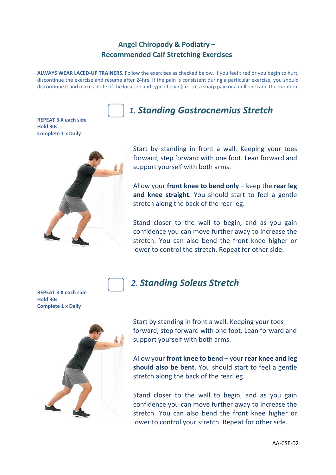### **Angel Chiropody & Podiatry – Recommended Calf Stretching Exercises**

**ALWAYS WEAR LACED-UP TRAINERS.** Follow the exercises as checked below. If you feel tired or you begin to hurt, discontinue the exercise and resume after 24hrs. If the pain is consistent during a particular exercise, you should discontinue it and make a note of the location and type of pain (i.e. is it a sharp pain or a dull one) and the duration.

**REPEAT 3 X each side Hold 30s Complete 1 x Daily**



# *1. Standing Gastrocnemius Stretch*

Start by standing in front a wall. Keeping your toes forward, step forward with one foot. Lean forward and support yourself with both arms.

Allow your **front knee to bend only** – keep the **rear leg and knee straight**. You should start to feel a gentle stretch along the back of the rear leg.

Stand closer to the wall to begin, and as you gain confidence you can move further away to increase the stretch. You can also bend the front knee higher or lower to control the stretch. Repeat for other side.

**REPEAT 3 X each side Hold 30s Complete 1 x Daily**



Start by standing in front a wall. Keeping your toes forward, step forward with one foot. Lean forward and support yourself with both arms.

 *2. Standing Soleus Stretch*

Allow your **front knee to bend** – your **rear knee and leg should also be bent**. You should start to feel a gentle stretch along the back of the rear leg.

Stand closer to the wall to begin, and as you gain confidence you can move further away to increase the stretch. You can also bend the front knee higher or lower to control your stretch. Repeat for other side.